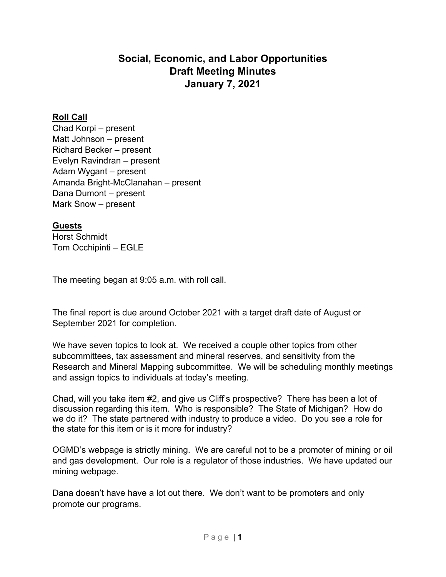# **Social, Economic, and Labor Opportunities Draft Meeting Minutes January 7, 2021**

## **Roll Call**

Chad Korpi – present Matt Johnson – present Richard Becker – present Evelyn Ravindran – present Adam Wygant – present Amanda Bright-McClanahan – present Dana Dumont – present Mark Snow – present

#### **Guests**

Horst Schmidt Tom Occhipinti – EGLE

The meeting began at 9:05 a.m. with roll call.

The final report is due around October 2021 with a target draft date of August or September 2021 for completion.

We have seven topics to look at. We received a couple other topics from other subcommittees, tax assessment and mineral reserves, and sensitivity from the Research and Mineral Mapping subcommittee. We will be scheduling monthly meetings and assign topics to individuals at today's meeting.

Chad, will you take item #2, and give us Cliff's prospective? There has been a lot of discussion regarding this item. Who is responsible? The State of Michigan? How do we do it? The state partnered with industry to produce a video. Do you see a role for the state for this item or is it more for industry?

OGMD's webpage is strictly mining. We are careful not to be a promoter of mining or oil and gas development. Our role is a regulator of those industries. We have updated our mining webpage.

Dana doesn't have have a lot out there. We don't want to be promoters and only promote our programs.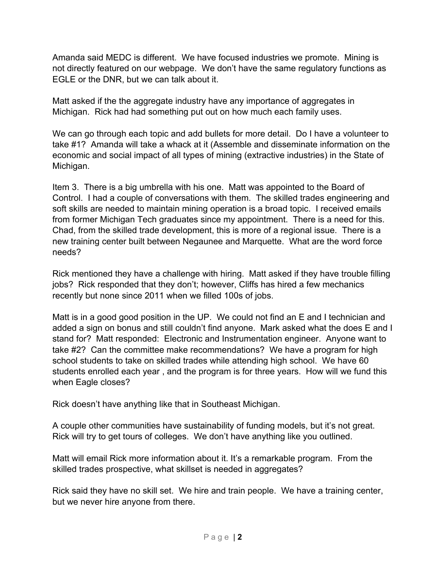Amanda said MEDC is different. We have focused industries we promote. Mining is not directly featured on our webpage. We don't have the same regulatory functions as EGLE or the DNR, but we can talk about it.

Matt asked if the the aggregate industry have any importance of aggregates in Michigan. Rick had had something put out on how much each family uses.

We can go through each topic and add bullets for more detail. Do I have a volunteer to take #1? Amanda will take a whack at it (Assemble and disseminate information on the economic and social impact of all types of mining (extractive industries) in the State of Michigan.

Item 3. There is a big umbrella with his one. Matt was appointed to the Board of Control. I had a couple of conversations with them. The skilled trades engineering and soft skills are needed to maintain mining operation is a broad topic. I received emails from former Michigan Tech graduates since my appointment. There is a need for this. Chad, from the skilled trade development, this is more of a regional issue. There is a new training center built between Negaunee and Marquette. What are the word force needs?

Rick mentioned they have a challenge with hiring. Matt asked if they have trouble filling jobs? Rick responded that they don't; however, Cliffs has hired a few mechanics recently but none since 2011 when we filled 100s of jobs.

Matt is in a good good position in the UP. We could not find an E and I technician and added a sign on bonus and still couldn't find anyone. Mark asked what the does E and I stand for? Matt responded: Electronic and Instrumentation engineer. Anyone want to take #2? Can the committee make recommendations? We have a program for high school students to take on skilled trades while attending high school. We have 60 students enrolled each year , and the program is for three years. How will we fund this when Eagle closes?

Rick doesn't have anything like that in Southeast Michigan.

A couple other communities have sustainability of funding models, but it's not great. Rick will try to get tours of colleges. We don't have anything like you outlined.

Matt will email Rick more information about it. It's a remarkable program. From the skilled trades prospective, what skillset is needed in aggregates?

Rick said they have no skill set. We hire and train people. We have a training center, but we never hire anyone from there.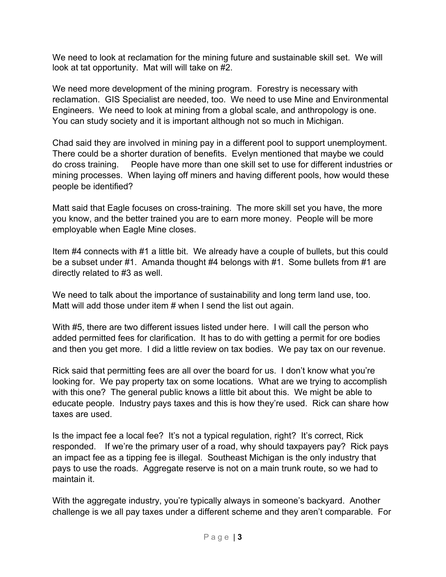We need to look at reclamation for the mining future and sustainable skill set. We will look at tat opportunity. Mat will will take on #2.

We need more development of the mining program. Forestry is necessary with reclamation. GIS Specialist are needed, too. We need to use Mine and Environmental Engineers. We need to look at mining from a global scale, and anthropology is one. You can study society and it is important although not so much in Michigan.

Chad said they are involved in mining pay in a different pool to support unemployment. There could be a shorter duration of benefits. Evelyn mentioned that maybe we could do cross training. People have more than one skill set to use for different industries or mining processes. When laying off miners and having different pools, how would these people be identified?

Matt said that Eagle focuses on cross-training. The more skill set you have, the more you know, and the better trained you are to earn more money. People will be more employable when Eagle Mine closes.

Item #4 connects with #1 a little bit. We already have a couple of bullets, but this could be a subset under #1. Amanda thought #4 belongs with #1. Some bullets from #1 are directly related to #3 as well.

We need to talk about the importance of sustainability and long term land use, too. Matt will add those under item # when I send the list out again.

With #5, there are two different issues listed under here. I will call the person who added permitted fees for clarification. It has to do with getting a permit for ore bodies and then you get more. I did a little review on tax bodies. We pay tax on our revenue.

Rick said that permitting fees are all over the board for us. I don't know what you're looking for. We pay property tax on some locations. What are we trying to accomplish with this one? The general public knows a little bit about this. We might be able to educate people. Industry pays taxes and this is how they're used. Rick can share how taxes are used.

Is the impact fee a local fee? It's not a typical regulation, right? It's correct, Rick responded. If we're the primary user of a road, why should taxpayers pay? Rick pays an impact fee as a tipping fee is illegal. Southeast Michigan is the only industry that pays to use the roads. Aggregate reserve is not on a main trunk route, so we had to maintain it.

With the aggregate industry, you're typically always in someone's backyard. Another challenge is we all pay taxes under a different scheme and they aren't comparable. For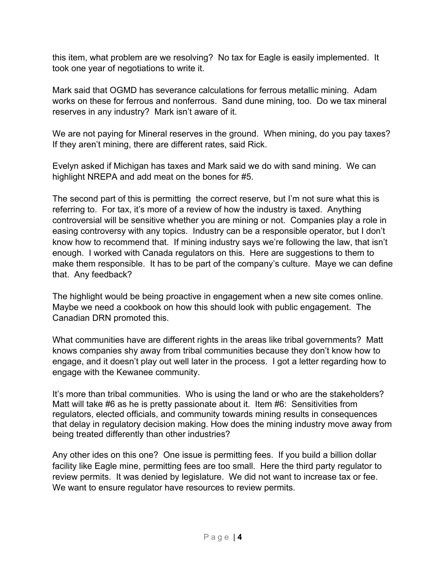this item, what problem are we resolving? No tax for Eagle is easily implemented. It took one year of negotiations to write it.

Mark said that OGMD has severance calculations for ferrous metallic mining. Adam works on these for ferrous and nonferrous. Sand dune mining, too. Do we tax mineral reserves in any industry? Mark isn't aware of it.

We are not paying for Mineral reserves in the ground. When mining, do you pay taxes? If they aren't mining, there are different rates, said Rick.

Evelyn asked if Michigan has taxes and Mark said we do with sand mining. We can highlight NREPA and add meat on the bones for #5.

The second part of this is permitting the correct reserve, but I'm not sure what this is referring to. For tax, it's more of a review of how the industry is taxed. Anything controversial will be sensitive whether you are mining or not. Companies play a role in easing controversy with any topics. Industry can be a responsible operator, but I don't know how to recommend that. If mining industry says we're following the law, that isn't enough. I worked with Canada regulators on this. Here are suggestions to them to make them responsible. It has to be part of the company's culture. Maye we can define that. Any feedback?

The highlight would be being proactive in engagement when a new site comes online. Maybe we need a cookbook on how this should look with public engagement. The Canadian DRN promoted this.

What communities have are different rights in the areas like tribal governments? Matt knows companies shy away from tribal communities because they don't know how to engage, and it doesn't play out well later in the process. I got a letter regarding how to engage with the Kewanee community.

It's more than tribal communities. Who is using the land or who are the stakeholders? Matt will take #6 as he is pretty passionate about it. Item #6: Sensitivities from regulators, elected officials, and community towards mining results in consequences that delay in regulatory decision making. How does the mining industry move away from being treated differently than other industries?

Any other ides on this one? One issue is permitting fees. If you build a billion dollar facility like Eagle mine, permitting fees are too small. Here the third party regulator to review permits. It was denied by legislature. We did not want to increase tax or fee. We want to ensure regulator have resources to review permits.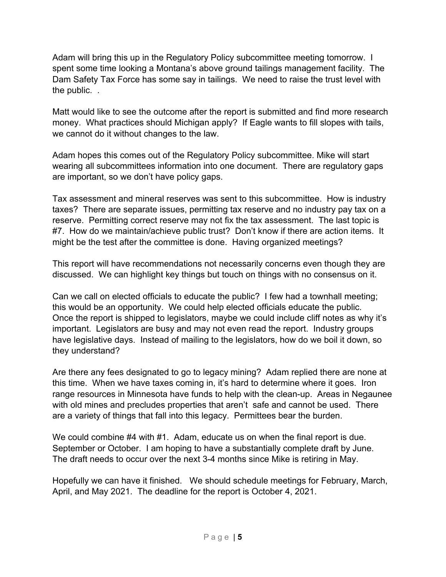Adam will bring this up in the Regulatory Policy subcommittee meeting tomorrow. I spent some time looking a Montana's above ground tailings management facility. The Dam Safety Tax Force has some say in tailings. We need to raise the trust level with the public. .

Matt would like to see the outcome after the report is submitted and find more research money. What practices should Michigan apply? If Eagle wants to fill slopes with tails, we cannot do it without changes to the law.

Adam hopes this comes out of the Regulatory Policy subcommittee. Mike will start wearing all subcommittees information into one document. There are regulatory gaps are important, so we don't have policy gaps.

Tax assessment and mineral reserves was sent to this subcommittee. How is industry taxes? There are separate issues, permitting tax reserve and no industry pay tax on a reserve. Permitting correct reserve may not fix the tax assessment. The last topic is #7. How do we maintain/achieve public trust? Don't know if there are action items. It might be the test after the committee is done. Having organized meetings?

This report will have recommendations not necessarily concerns even though they are discussed. We can highlight key things but touch on things with no consensus on it.

Can we call on elected officials to educate the public? I few had a townhall meeting; this would be an opportunity. We could help elected officials educate the public. Once the report is shipped to legislators, maybe we could include cliff notes as why it's important. Legislators are busy and may not even read the report. Industry groups have legislative days. Instead of mailing to the legislators, how do we boil it down, so they understand?

Are there any fees designated to go to legacy mining? Adam replied there are none at this time. When we have taxes coming in, it's hard to determine where it goes. Iron range resources in Minnesota have funds to help with the clean-up. Areas in Negaunee with old mines and precludes properties that aren't safe and cannot be used. There are a variety of things that fall into this legacy. Permittees bear the burden.

We could combine #4 with #1. Adam, educate us on when the final report is due. September or October. I am hoping to have a substantially complete draft by June. The draft needs to occur over the next 3-4 months since Mike is retiring in May.

Hopefully we can have it finished. We should schedule meetings for February, March, April, and May 2021. The deadline for the report is October 4, 2021.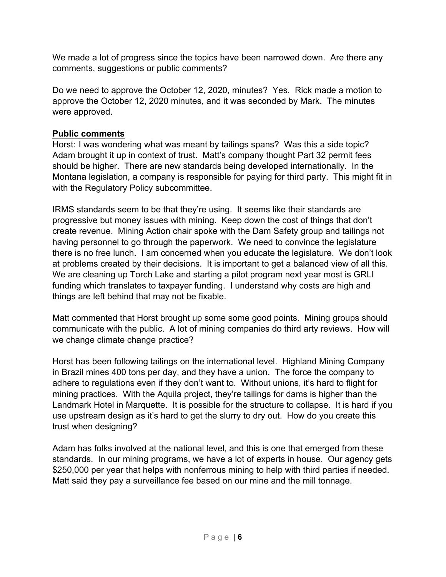We made a lot of progress since the topics have been narrowed down. Are there any comments, suggestions or public comments?

Do we need to approve the October 12, 2020, minutes? Yes. Rick made a motion to approve the October 12, 2020 minutes, and it was seconded by Mark. The minutes were approved.

### **Public comments**

Horst: I was wondering what was meant by tailings spans? Was this a side topic? Adam brought it up in context of trust. Matt's company thought Part 32 permit fees should be higher. There are new standards being developed internationally. In the Montana legislation, a company is responsible for paying for third party. This might fit in with the Regulatory Policy subcommittee.

IRMS standards seem to be that they're using. It seems like their standards are progressive but money issues with mining. Keep down the cost of things that don't create revenue. Mining Action chair spoke with the Dam Safety group and tailings not having personnel to go through the paperwork. We need to convince the legislature there is no free lunch. I am concerned when you educate the legislature. We don't look at problems created by their decisions. It is important to get a balanced view of all this. We are cleaning up Torch Lake and starting a pilot program next year most is GRLI funding which translates to taxpayer funding. I understand why costs are high and things are left behind that may not be fixable.

Matt commented that Horst brought up some some good points. Mining groups should communicate with the public. A lot of mining companies do third arty reviews. How will we change climate change practice?

Horst has been following tailings on the international level. Highland Mining Company in Brazil mines 400 tons per day, and they have a union. The force the company to adhere to regulations even if they don't want to. Without unions, it's hard to flight for mining practices. With the Aquila project, they're tailings for dams is higher than the Landmark Hotel in Marquette. It is possible for the structure to collapse. It is hard if you use upstream design as it's hard to get the slurry to dry out. How do you create this trust when designing?

Adam has folks involved at the national level, and this is one that emerged from these standards. In our mining programs, we have a lot of experts in house. Our agency gets \$250,000 per year that helps with nonferrous mining to help with third parties if needed. Matt said they pay a surveillance fee based on our mine and the mill tonnage.